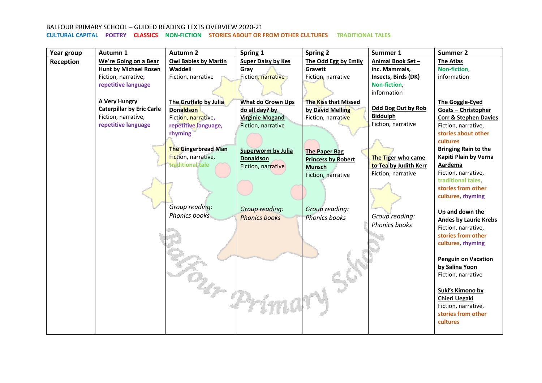| Year group | Autumn 1                         | <b>Autumn 2</b>             | Spring 1                  | <b>Spring 2</b>             | Summer 1              | Summer 2                          |
|------------|----------------------------------|-----------------------------|---------------------------|-----------------------------|-----------------------|-----------------------------------|
| Reception  | We're Going on a Bear            | <b>Owl Babies by Martin</b> | <b>Super Daisy by Kes</b> | The Odd Egg by Emily        | Animal Book Set-      | <b>The Atlas</b>                  |
|            | <b>Hunt by Michael Rosen</b>     | Waddell                     | Gray                      | Gravett                     | inc. Mammals,         | Non-fiction,                      |
|            | Fiction, narrative,              | Fiction, narrative          | Fiction, narrative        | Fiction, narrative          | Insects, Birds (DK)   | information                       |
|            | repetitive language              |                             |                           |                             | Non-fiction,          |                                   |
|            |                                  |                             |                           |                             | information           |                                   |
|            | <b>A Very Hungry</b>             | The Gruffalo by Julia       | What do Grown Ups         | <b>The Kiss that Missed</b> |                       | The Goggle-Eyed                   |
|            | <b>Caterpillar by Eric Carle</b> | <b>Donaldson</b>            | do all day? by            | by David Melling            | Odd Dog Out by Rob    | Goats - Christopher               |
|            | Fiction, narrative,              | Fiction, narrative,         | <b>Virginie Mogand</b>    | Fiction, narrative          | <b>Biddulph</b>       | <b>Corr &amp; Stephen Davies</b>  |
|            | repetitive language              | repetitive language,        | Fiction, narrative        |                             | Fiction, narrative    | Fiction, narrative,               |
|            |                                  | rhyming                     |                           |                             |                       | stories about other               |
|            |                                  |                             |                           |                             |                       | cultures                          |
|            |                                  | <b>The Gingerbread Man</b>  | <b>Superworm by Julia</b> | <b>The Paper Bag</b>        |                       | <b>Bringing Rain to the</b>       |
|            |                                  | Fiction, narrative,         | <b>Donaldson</b>          | <b>Princess by Robert</b>   | The Tiger who came    | Kapiti Plain by Verna             |
|            |                                  | traditional tale            | Fiction, narrative        | <b>Munsch</b>               | to Tea by Judith Kerr | Aardema                           |
|            |                                  |                             |                           | Fiction, narrative          | Fiction, narrative    | Fiction, narrative,               |
|            |                                  |                             |                           |                             |                       | traditional tales.                |
|            |                                  |                             |                           |                             |                       | stories from other                |
|            |                                  |                             |                           |                             |                       | cultures, rhyming                 |
|            |                                  | Group reading:              | Group reading:            | Group reading:              |                       |                                   |
|            |                                  | <b>Phonics books</b>        | <b>Phonics books</b>      | <b>Phonics books</b>        | Group reading:        | Up and down the                   |
|            |                                  |                             |                           |                             | Phonics books         | <b>Andes by Laurie Krebs</b>      |
|            |                                  |                             |                           |                             |                       | Fiction, narrative,               |
|            |                                  |                             |                           |                             |                       | stories from other                |
|            |                                  |                             |                           |                             |                       | cultures, rhyming                 |
|            |                                  |                             |                           |                             |                       |                                   |
|            |                                  |                             |                           |                             |                       | <b>Penguin on Vacation</b>        |
|            |                                  |                             |                           |                             |                       | by Salina Yoon                    |
|            |                                  |                             |                           |                             |                       | Fiction, narrative                |
|            |                                  |                             |                           |                             |                       |                                   |
|            |                                  |                             |                           |                             |                       | Suki's Kimono by<br>Chieri Uegaki |
|            |                                  |                             |                           |                             |                       | Fiction, narrative,               |
|            |                                  |                             |                           |                             |                       | stories from other                |
|            |                                  | Bur Prin                    |                           |                             |                       | cultures                          |
|            |                                  |                             |                           |                             |                       |                                   |
|            |                                  |                             |                           |                             |                       |                                   |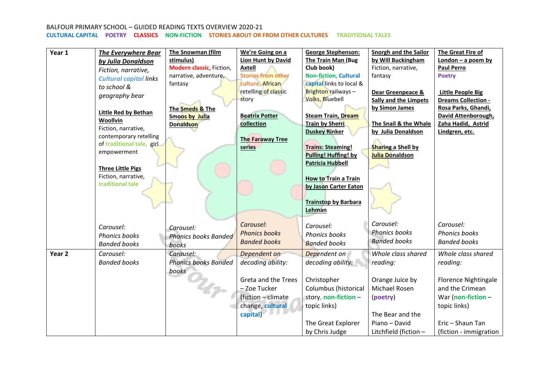| Year 1            | <b>The Everywhere Bear</b>    | The Snowman (film           | We're Going on a          | <b>George Stephenson:</b>    | <b>Snorgh and the Sailor</b> | The Great Fire of        |
|-------------------|-------------------------------|-----------------------------|---------------------------|------------------------------|------------------------------|--------------------------|
|                   | by Julia Donaldson            | stimulus)                   | <b>Lion Hunt by David</b> | The Train Man (Bug           | by Will Buckingham           | London - a poem by       |
|                   | Fiction, narrative,           | Modern classic, Fiction,    | <b>Axtell</b>             | Club book)                   | Fiction, narrative,          | <b>Paul Perro</b>        |
|                   | <b>Cultural capital links</b> | narrative, adventure,       | <b>Stories from other</b> | <b>Non-fiction, Cultural</b> | fantasy                      | <b>Poetry</b>            |
|                   | to school &                   | fantasy                     | culture, African          | capital links to local &     |                              |                          |
|                   | geography bear                |                             | retelling of classic      | Brighton railways-           | Dear Greenpeace &            | <b>Little People Big</b> |
|                   |                               |                             | story                     | <b>Volks, Bluebell</b>       | <b>Sally and the Limpets</b> | Dreams Collection -      |
|                   | Little Red by Bethan          | The Smeds & The             |                           |                              | by Simon James               | Rosa Parks, Ghandi,      |
|                   | Woollvin                      | <b>Smoos by Julia</b>       | <b>Beatrix Potter</b>     | <b>Steam Train, Dream</b>    |                              | David Attenborough,      |
|                   | Fiction, narrative,           | <b>Donaldson</b>            | collection                | <b>Train by Sherri</b>       | The Snail & the Whale        | Zaha Hadid, Astrid       |
|                   | contemporary retelling        |                             |                           | <b>Duskey Rinker</b>         | by Julia Donaldson           | Lindgren, etc.           |
|                   | of traditional tale, girl     |                             | <b>The Faraway Tree</b>   |                              |                              |                          |
|                   | empowerment                   |                             | series                    | <b>Trains: Steaming!</b>     | <b>Sharing a Shell by</b>    |                          |
|                   |                               |                             |                           | <b>Pulling! Huffing! by</b>  | <b>Julia Donaldson</b>       |                          |
|                   | <b>Three Little Pigs</b>      |                             |                           | <b>Patricia Hubbell</b>      |                              |                          |
|                   | Fiction, narrative,           |                             |                           |                              |                              |                          |
|                   | traditional tale              |                             |                           | <b>How to Train a Train</b>  |                              |                          |
|                   |                               |                             |                           | by Jason Carter Eaton        |                              |                          |
|                   |                               |                             |                           |                              |                              |                          |
|                   |                               |                             |                           | <b>Trainstop by Barbara</b>  |                              |                          |
|                   |                               |                             |                           | Lehman                       |                              |                          |
|                   |                               |                             | Carousel:                 | Carousel:                    | Carousel:                    | Carousel:                |
|                   | Carousel:                     | Carousel:                   | <b>Phonics books</b>      | <b>Phonics books</b>         | <b>Phonics books</b>         | <b>Phonics books</b>     |
|                   | <b>Phonics books</b>          | <b>Phonics books Banded</b> | <b>Banded books</b>       |                              | <b>Banded books</b>          | <b>Banded books</b>      |
|                   | <b>Banded books</b>           | books                       |                           | <b>Banded books</b>          |                              |                          |
| Year <sub>2</sub> | Carousel:                     | Carousel:                   | Dependent on              | Dependent on                 | Whole class shared           | Whole class shared       |
|                   | <b>Banded books</b>           | <b>Phonics books Banded</b> | decoding ability:         | decoding ability:            | reading:                     | reading:                 |
|                   |                               | books                       |                           |                              |                              |                          |
|                   |                               |                             | Greta and the Trees       | Christopher                  | Orange Juice by              | Florence Nightingale     |
|                   |                               |                             | - Zoe Tucker              | Columbus (historical         | Michael Rosen                | and the Crimean          |
|                   |                               |                             | (fiction - climate        | story, non-fiction -         | (poetry)                     | War (non-fiction $-$     |
|                   |                               |                             | change, cultural          | topic links)                 |                              | topic links)             |
|                   |                               |                             | capital)                  |                              | The Bear and the             |                          |
|                   |                               |                             |                           | The Great Explorer           | Piano - David                | Eric - Shaun Tan         |
|                   |                               |                             |                           | by Chris Judge               |                              |                          |
|                   |                               |                             |                           |                              | Litchfield (fiction -        | (fiction - immigration   |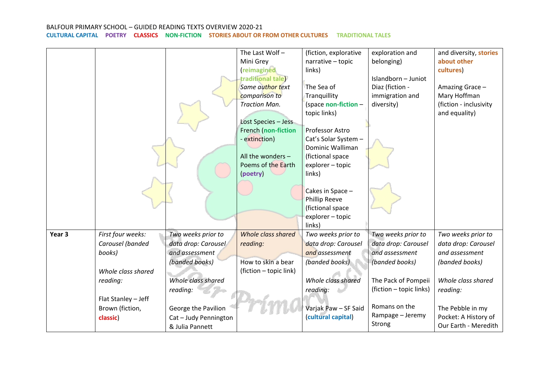|        |                     |                     | The Last Wolf-         | (fiction, explorative        | exploration and         | and diversity, stories |
|--------|---------------------|---------------------|------------------------|------------------------------|-------------------------|------------------------|
|        |                     |                     | Mini Grey              | narrative - topic            | belonging)              | about other            |
|        |                     |                     | (reimagined            | links)                       |                         | cultures)              |
|        |                     |                     | traditional tale)      |                              | Islandborn - Juniot     |                        |
|        |                     |                     | Same author text       | The Sea of                   | Diaz (fiction -         | Amazing Grace-         |
|        |                     |                     | comparison to          | Tranquillity                 | immigration and         | Mary Hoffman           |
|        |                     |                     | <b>Traction Man.</b>   | (space non-fiction -         | diversity)              | (fiction - inclusivity |
|        |                     |                     |                        | topic links)                 |                         | and equality)          |
|        |                     |                     | Lost Species - Jess    |                              |                         |                        |
|        |                     |                     | French (non-fiction    | Professor Astro              |                         |                        |
|        |                     |                     | - extinction)          | Cat's Solar System -         |                         |                        |
|        |                     |                     |                        | Dominic Walliman             |                         |                        |
|        |                     |                     | All the wonders $-$    | (fictional space             |                         |                        |
|        |                     |                     | Poems of the Earth     | explorer - topic             |                         |                        |
|        |                     |                     | (poetry)               | links)                       |                         |                        |
|        |                     |                     |                        |                              |                         |                        |
|        |                     |                     |                        | Cakes in Space -             |                         |                        |
|        |                     |                     |                        | Phillip Reeve                |                         |                        |
|        |                     |                     |                        | (fictional space             |                         |                        |
|        |                     |                     |                        | explorer - topic             |                         |                        |
| Year 3 | First four weeks:   | Two weeks prior to  | Whole class shared     | links)<br>Two weeks prior to | Two weeks prior to      | Two weeks prior to     |
|        | Carousel (banded    |                     |                        | data drop: Carousel          | data drop: Carousel     | data drop: Carousel    |
|        |                     | data drop: Carousel | reading:               |                              |                         |                        |
|        | books)              | and assessment      |                        | and assessment               | and assessment          | and assessment         |
|        |                     | (banded books)      | How to skin a bear     | (banded books)               | (banded books)          | (banded books)         |
|        | Whole class shared  |                     | (fiction - topic link) |                              |                         |                        |
|        | reading:            | Whole class shared  |                        | Whole class shared           | The Pack of Pompeii     | Whole class shared     |
|        |                     | reading:            |                        | reading:                     | (fiction - topic links) | reading:               |
|        | Flat Stanley - Jeff |                     |                        |                              |                         |                        |
|        | Brown (fiction,     | George the Pavilion |                        | Varjak Paw - SF Said         | Romans on the           | The Pebble in my       |
|        | classic)            | Cat-Judy Pennington |                        | (cultural capital)           | Rampage - Jeremy        | Pocket: A History of   |
|        |                     | & Julia Pannett     |                        |                              | Strong                  | Our Earth - Meredith   |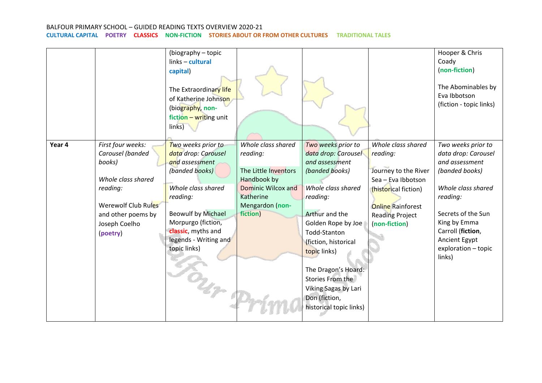|        |                     | (biography - topic        |                      |                         |                          | Hooper & Chris          |
|--------|---------------------|---------------------------|----------------------|-------------------------|--------------------------|-------------------------|
|        |                     | links - cultural          |                      |                         |                          | Coady                   |
|        |                     | capital)                  |                      |                         |                          | (non-fiction)           |
|        |                     |                           |                      |                         |                          |                         |
|        |                     | The Extraordinary life    |                      |                         |                          | The Abominables by      |
|        |                     | of Katherine Johnson      |                      |                         |                          | Eva Ibbotson            |
|        |                     | (biography, non-          |                      |                         |                          | (fiction - topic links) |
|        |                     | fiction - writing unit    |                      |                         |                          |                         |
|        |                     | links)                    |                      |                         |                          |                         |
|        |                     |                           |                      |                         |                          |                         |
| Year 4 | First four weeks:   | Two weeks prior to        | Whole class shared   | Two weeks prior to      | Whole class shared       | Two weeks prior to      |
|        | Carousel (banded    | data drop: Carousel       | reading:             | data drop: Carousel     | reading:                 | data drop: Carousel     |
|        | books)              | and assessment            |                      | and assessment          |                          | and assessment          |
|        |                     | (banded books)            | The Little Inventors | (banded books)          | Journey to the River     | (banded books)          |
|        | Whole class shared  |                           | Handbook by          |                         | Sea - Eva Ibbotson       |                         |
|        | reading:            | Whole class shared        | Dominic Wilcox and   | Whole class shared      | (historical fiction)     | Whole class shared      |
|        |                     | reading:                  | Katherine            | reading:                |                          | reading:                |
|        | Werewolf Club Rules |                           | Mengardon (non-      |                         | <b>Online</b> Rainforest |                         |
|        | and other poems by  | <b>Beowulf by Michael</b> | fiction)             | Arthur and the          | <b>Reading Project</b>   | Secrets of the Sun      |
|        | Joseph Coelho       | Morpurgo (fiction,        |                      | Golden Rope by Joe      | (non-fiction)            | King by Emma            |
|        | (poetry)            | classic, myths and        |                      | Todd-Stanton            |                          | Carroll (fiction,       |
|        |                     | legends - Writing and     |                      | (fiction, historical    |                          | Ancient Egypt           |
|        |                     | topic links)              |                      | topic links)            |                          | exploration - topic     |
|        |                     |                           |                      |                         |                          | links)                  |
|        |                     |                           |                      | The Dragon's Hoard:     |                          |                         |
|        |                     |                           |                      | Stories From the        |                          |                         |
|        |                     | n pr                      |                      |                         |                          |                         |
|        |                     |                           |                      | Viking Sagas by Lari    |                          |                         |
|        |                     |                           |                      | Don (fiction,           |                          |                         |
|        |                     |                           |                      | historical topic links) |                          |                         |
|        |                     |                           |                      |                         |                          |                         |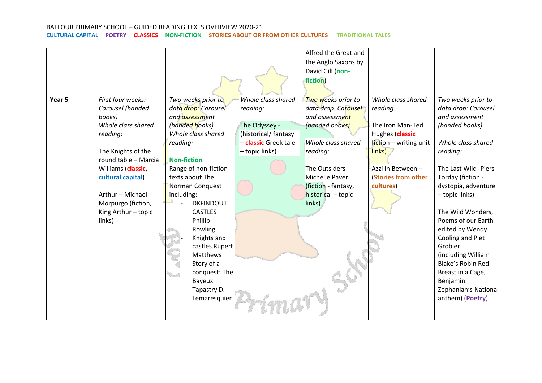|        |                                                                                                                                                                                                                                                       |                                                                                                                                                                                                                                                                                                                                                                                                           |                                                                                                                  | Alfred the Great and<br>the Anglo Saxons by<br>David Gill (non-<br>fiction)                                                                                                                                |                                                                                                                                                                    |                                                                                                                                                                                                                                                                                                                                                                                                                                     |
|--------|-------------------------------------------------------------------------------------------------------------------------------------------------------------------------------------------------------------------------------------------------------|-----------------------------------------------------------------------------------------------------------------------------------------------------------------------------------------------------------------------------------------------------------------------------------------------------------------------------------------------------------------------------------------------------------|------------------------------------------------------------------------------------------------------------------|------------------------------------------------------------------------------------------------------------------------------------------------------------------------------------------------------------|--------------------------------------------------------------------------------------------------------------------------------------------------------------------|-------------------------------------------------------------------------------------------------------------------------------------------------------------------------------------------------------------------------------------------------------------------------------------------------------------------------------------------------------------------------------------------------------------------------------------|
| Year 5 | First four weeks:<br>Carousel (banded<br>books)<br>Whole class shared<br>reading:<br>The Knights of the<br>round table - Marcia<br>Williams (classic,<br>cultural capital)<br>Arthur - Michael<br>Morpurgo (fiction,<br>King Arthur - topic<br>links) | Two weeks prior to<br>data drop: Carousel<br>and <i>assessment</i><br>(banded books)<br>Whole class shared<br>reading:<br><b>Non-fiction</b><br>Range of non-fiction<br>texts about The<br>Norman Conquest<br>including:<br><b>DKFINDOUT</b><br><b>CASTLES</b><br>Phillip<br>Rowling<br>Knights and<br>castles Rupert<br>Matthews<br>Story of a<br>conquest: The<br>Bayeux<br>Tapastry D.<br>Lemaresquier | Whole class shared<br>reading:<br>The Odyssey -<br>(historical/fantasy<br>- classic Greek tale<br>- topic links) | Two weeks prior to<br>data drop: Carousel<br>and assessment<br>(banded books)<br>Whole class shared<br>reading:<br>The Outsiders-<br>Michelle Paver<br>(fiction - fantasy,<br>historical - topic<br>links) | Whole class shared<br>reading:<br>The Iron Man-Ted<br>Hughes (classic<br>fiction - writing unit<br>links)<br>Azzi In Between -<br>(Stories from other<br>cultures) | Two weeks prior to<br>data drop: Carousel<br>and assessment<br>(banded books)<br>Whole class shared<br>reading:<br>The Last Wild -Piers<br>Torday (fiction -<br>dystopia, adventure<br>- topic links)<br>The Wild Wonders,<br>Poems of our Earth -<br>edited by Wendy<br>Cooling and Piet<br>Grobler<br>(including William<br><b>Blake's Robin Red</b><br>Breast in a Cage,<br>Benjamin<br>Zephaniah's National<br>anthem) (Poetry) |